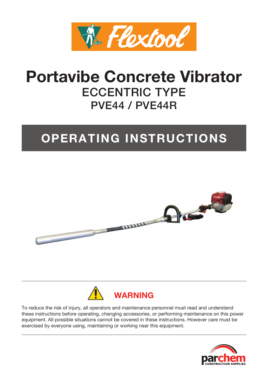

# **Portavibe Concrete Vibrator** ECCENTRIC TYPE PVE44 / PVE44R

# **OPERATING INSTRUCTIONS**





To reduce the risk of injury, all operators and maintenance personnel must read and understand these instructions before operating, changing accessories, or performing maintenance on this power equipment. All possible situations cannot be covered in these instructions. However care must be exercised by everyone using, maintaining or working near this equipment.

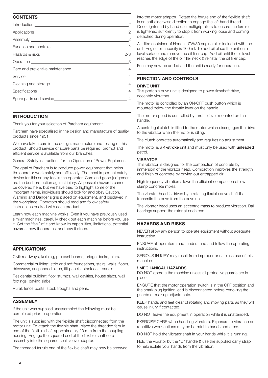# **CONTENTS**

| $\overline{2}$ |
|----------------|
|                |
|                |
|                |
|                |
|                |
|                |
|                |
|                |
|                |
|                |

## **INTRODUCTION**

Thank you for your selection of Parchem equipment.

Parchem have specialised in the design and manufacture of quality products since 1951.

We have taken care in the design, manufacture and testing of this product. Should service or spare parts be required, prompt and efficient service is available from our branches.

General Safety Instructions for the Operation of Power Equipment

The goal of Parchem is to produce power equipment that helps the operator work safely and efficiently. The most important safety device for this or any tool is the operator. Care and good judgement are the best protection against injury. All possible hazards cannot be covered here, but we have tried to highlight some of the important items, individuals should look for and obey Caution, Warning and Danger signs placed on equipment, and displayed in the workplace. Operators should read and follow safety instructions packed with each product.

Learn how each machine works. Even if you have previously used similar machines, carefully check out each machine before you use it. Get the "feel" of it and know its capabilities, limitations, potential hazards, how it operates, and how it stops.

# **APPLICATIONS**

Civil: roadways, kerbing, pre cast beams, bridge decks, piers.

Commercial building: strip and raft foundations, stairs, walls, floors, driveways, suspended slabs, tilt panels, stack cast panels.

Residential building: floor stumps, wall cavities, house slabs, wall footings, paving slabs.

Rural: fence posts, stock troughs and pens.

# **ASSEMBLY**

If the unit was supplied unassembled the following must be completed prior to operation:

The unit is supplied with the flexible shaft disconnected from the motor unit. To attach the flexible shaft, place the threaded ferrule end of the flexible shaft approximately 20 mm from the coupling housing. Engage the squared end of the flexible shaft core assembly into the squared seal sleeve adaptor.

The threaded ferrule end of the flexible shaft may now be screwed

into the motor adaptor. Rotate the ferrule end of the flexible shaft in an anti-clockwise direction to engage the left hand thread. Once tightened by hand use multigrip pliers to ensure the ferrule is tightened sufficiently to stop it from working loose and coming detached during operation.

A 1 litre container of Honda 10W/30 engine oil is included with the unit. Engine oil capacity is 100 ml. To add oil place the unit on a level surface and remove the oil filler cap. Add oil until the oil level reaches the edge of the oil filler neck & reinstall the oil filler cap.

Fuel may now be added and the unit is ready for operation.

# **FUNCTION AND CONTROLS**

## DRIVE UNIT

This portable drive unit is designed to power flexshaft drive, eccentric vibrators.

The motor is controlled by an ON/OFF push button which is mounted below the throttle lever on the handle.

The motor speed is controlled by throttle lever mounted on the handle.

A centrifugal clutch is fitted to the motor which disengages the drive to the vibrator when the motor is idling.

The clutch operates automatically and requires no adjustment.

The motor is a 4-stroke unit and must only be used with unleaded petrol.

#### **VIRRATOR**

This vibrator is designed for the compaction of concrete by immersion of the vibrator head. Compaction improves the strength and finish of concrete by driving out entrapped air.

High frequency vibration allows the efficient compaction of low slump concrete mixes.

The vibrator head is driven by a rotating flexible drive shaft that transmits the drive from the drive unit.

The vibrator head uses an eccentric mass to produce vibration. Ball bearings support the rotor at each end.

### **HAZARDS AND RISKS**

NEVER allow any person to operate equipment without adequate instruction.

ENSURE all operators read, understand and follow the operating instructions.

SERIOUS INJURY may result from improper or careless use of this machine

#### ! MECHANICAL HAZARDS

DO NOT operate the machine unless all protective guards are in place.

ENSURE that the motor operation switch is in the OFF position and the spark plug ignition lead is disconnected before removing the guards or making adjustments.

KEEP hands and feet clear of rotating and moving parts as they will cause injury if contacted.

DO NOT leave the equipment in operation while it is unattended.

EXERCISE CARE when handling vibrators. Exposure to vibration or repetitive work actions may be harmful to hands and arms.

DO NOT hold the vibrator shaft in your hands while it is running.

Hold the vibrator by the "D" handle & use the supplied carry strap to help isolate your hands from the vibration.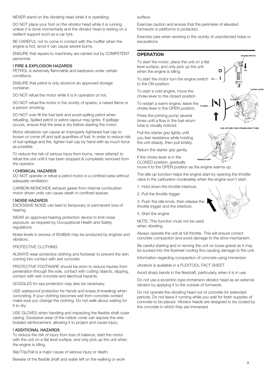NEVER stand on the vibrating head while it is operating.

DO NOT place your foot on the vibrator head while it is running unless it is done momentarily and the vibrator head is resting on a resilient support such as a car tyre.

BE CAREFUL not to come in contact with the muffler when the engine is hot, since it can cause severe burns.

ENSURE that repairs to machinery are carried out by COMPETENT personnel.

#### ! FIRE & EXPLOSION HAZARDS

PETROL is extremely flammable and explosive under certain conditions.

ENSURE that petrol is only stored in an approved storage container.

DO NOT refuel the motor while it is in operation or hot.

DO NOT refuel the motor in the vicinity of sparks, a naked flame or a person smoking.

DO NOT over fill the fuel tank and avoid spilling petrol when refuelling. Spilled petrol or petrol vapour may ignite. If spillage occurs, ensure that the area is dry before starting the motor.

Motor vibrations can cause an improperly tightened fuel cap to loosen or come off and spill quantities of fuel. In order to reduce risk of fuel spillage and fire, tighten fuel cap by hand with as much force as possible.

To reduce the risk of serious injury from burns, never attempt to refuel the unit until it has been stopped & completely removed from the operator.

#### ! CHEMICAL HAZARDS

DO NOT operate or refuel a petrol motor in a confined area without adequate ventilation.

CARBON MONOXIDE exhaust gases from internal combustion motor driven units can cause death in confined spaces.

#### ! NOISE HAZARDS

EXCESSIVE NOISE can lead to temporary or permanent loss of hearing.

WEAR an approved hearing protection device to limit noise exposure. as required by Occupational Health and Safety regulations.

Noise levels in excess of 85dB(A) may be produced by engines and vibrators.

#### PROTECTIVE CLOTHING

ALWAYS wear protective clothing and footwear to prevent the skin coming into contact with wet concrete.

PROTECTIVE FOOTWARE should be worn to reduce injuries from penetration through the sole, contact with cutting objects, slipping, contact with wet concrete and electrical hazards.

GOGGLES for eye protection may also be necessary.

USE waterproof protection for hands and knees (if kneeling) when concreting. If your clothing becomes wet from concrete contact make sure you change the clothing. Do not walk about waiting for it to dry.

USE GLOVES when handling and inspecting the flexible shaft outer casing. Excessive wear of the rubber cover can expose the wire braided reinforcement, allowing it to project and cause injury.

#### ! ADDITIONAL HAZARDS

To reduce the risk of injury from loss of balance, start the motor with the unit on a flat level surface, and only pick up the unit when the engine is idling.

Slip/Trip/Fall is a major cause of serious injury or death.

Beware of the flexible shaft and water left on the walking or work

surface.

Exercise caution and ensure that the perimeter of elevated formwork or platforms is protected.

Exercise care when working in the vicinity of unprotected holes or excavations

# **OPERATION**

To start the motor, place the unit on a flat level surface, and only pick up the unit when the engine is idling.

To start the motor turn the engine switch ON to the ON position.

To start a cold engine, move the choke lever to the closed position

To restart a warm engine, leave the  $_{\text{costr}}$ choke lever in the OPEN position.

Press the priming pump several times until a flow in the fuel return tube is visually noticed.

Pull the starter grip lightly until you feel resistance while holding the unit steady, then pull briskly.

Return the starter grip gently.



 $\Omega$ 

If the choke lever is in the CLOSED position, gradually move it to the OPEN position as the engine warms up.

The idle-up function helps the engine start by opening the throttle valve in the carburetor moderately when the engine won't start.

1. Hold down the throttle interlock.

2. Pull the throttle trigger.

3. Push the idle-knob, then release the throttle trigger and the interlock.

4. Start the engine

NOTE: This function must not be used when vibrating.

Always operate the unit at full throttle. This will ensure correct concrete compaction and avoid damage to the drive mechanism.

Be careful starting and or revving the unit on loose gravel as it may be sucked into the flywheel cooling fins causing damage to the unit.

Information regarding compaction of concrete using immersion

vibrators is available in a FLEXTOOL FACT SHEET.

Avoid sharp bends in the flexshaft, particularly when it is in use.

Do not use a eccentric-type immersion vibrator head as an external vibrator by applying it to the outside of formwork.

Do not operate the vibrating head out of concrete for extended periods. Do not leave it running while you wait for fresh supplies of concrete to be placed. Vibrator heads are designed to be cooled by the concrete in which they are immersed.



**ENGINE SWITCH** 

**HOKE LEVEI**